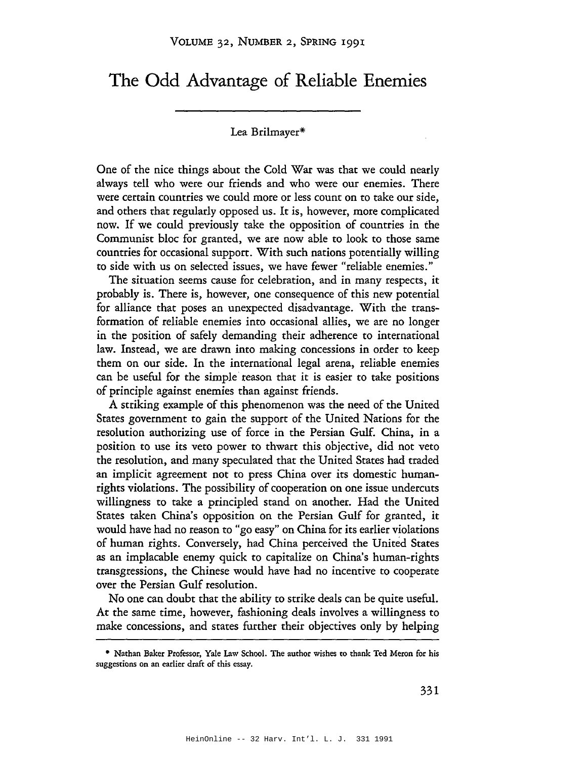## **The Odd Advantage of Reliable Enemies**

## Lea Brilmayer\*

One of the nice things about the Cold War was that we could nearly always tell who were our friends and who were our enemies. There were certain countries we could more or less count on to take our side, and others that regularly opposed us. It is, however, more complicated now. If we could previously take the opposition of countries in the Communist bloc for granted, we are now able to look to those same countries for occasional support. With such nations potentially willing to side with us on selected issues, we have fewer "reliable enemies."

The situation seems cause for celebration, and in many respects, it probably is. There is, however, one consequence of this new potential for alliance that poses an unexpected disadvantage. With the transformation of reliable enemies into occasional allies, we are no longer in the position of safely demanding their adherence to international law. Instead, we are drawn into making concessions in order to keep them on our side. In the international legal arena, reliable enemies can be useful for the simple· reason that it is easier to take positions of principle against enemies than against friends.

A striking example of this phenomenon was the need of the United States government to gain the support of the United Nations for the resolution authorizing use of force in the Persian Gulf. China, in a position to use its veto power to thwart this objective, did not veto the resolution, and many speculated that the United States had traded an implicit agreement not to press China over its domestic humanrights violations. The possibility of cooperation on one issue undercuts willingness to take a principled stand on another. Had the United States taken China's opposition on the Persian Gulf for granted, it would have had no reason to "go easy" on China for its earlier violations of human rights. Conversely, had China perceived the United States as an implacable enemy quick to capitalize on China's human-rights transgressions, the Chinese would have had no incentive to cooperate over the Persian Gulf resolution.

No one can doubt that the ability to strike deals can be quite useful. At the same time, however, fashioning deals involves a willingness to make concessions, and states further their objectives only by helping

<sup>•</sup> Nathan Baker Professor, Yale Law School. The author wishes to thank Ted Meron for his suggestions on an earlier draft of this essay.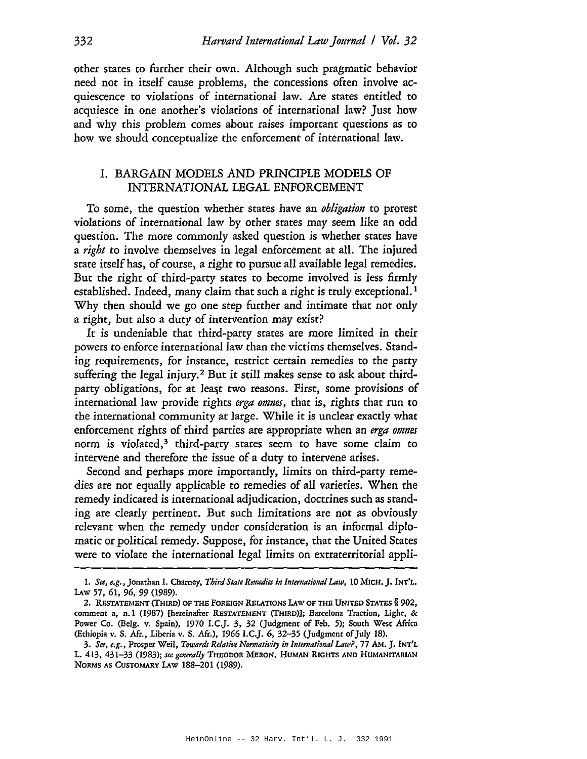other states to further their own. Although such pragmatic behavior need not in itself cause problems, the concessions often involve acquiescence to violations of international law. Are states entitled to acquiesce in one another's violations of international law? Just how and why this problem comes about raises important questions as to how we should conceptualize the enforcement of international law.

## 1. BARGAIN MODELS AND PRINCIPLE MODELS OF INTERNATIONAL LEGAL ENFORCEMENT

To some, the question whether states have an *obligation* to protest violations of international law by other states may seem like an odd question. The more commonly asked question is whether states have a *right* to involve themselves in legal enforcement at all. The injured state itself has, of course, a right to pursue all available legal remedies. But the right of third-party states to become involved is less firmly established. Indeed, many claim that such a right is truly exceptional.<sup>1</sup> Why then should we go one step further and intimate that not only a right, but also a duty of intervention may exist?

It is undeniable that third-party states are more limited in their powers to enforce international law than the victims themselves. Standing requirements, for instance, restrict certain remedies to the party suffering the legal injury.<sup>2</sup> But it still makes sense to ask about thirdparty obligations, for at least two reasons. First, some provisions of international law provide rights *erga omnes,* that is, rights that run to the international community at large. While it is unclear exactly what enforcement rights of third parties are appropriate when an *erga omnes* norm is violated,<sup>3</sup> third-party states seem to have some claim to intervene and therefore the issue of a duty to intervene arises.

Second and perhaps more importantly, limits on third-party remedies are not equally applicable to remedies of all varieties. When the remedy indicated is international adjudication, doctrines such as standing are clearly pertinent. But such limitations are not as obviously relevant when the remedy under consideration is an informal diplomatic or political remedy. Suppose, for instance, that the United States were to violate the international legal limits on extraterritorial appli-

<sup>1.</sup> *See, e.g.,* Jonathan I. Charney, *Third State Remedies in International* Law, 10 MICH. ]. INT'L, LAw 57, 61, 96, 99 (1989).

<sup>2.</sup> RESTATEMENT (THIRD) OF THE FOREIGN RELATIONS LAw OF THE UNITED STATES § 902, comment a, n.1 (1987) [hereinafter RESTATEMENT (THIRD)}; Barcelona Traction, Light, & Power Co. (Belg. v. Spain), 1970 I.C.]. 3, 32 (Judgment of Feb. 5); South West Africa (Ethiopia v. S. Afr., Liberia v. S. Afr.), 1966 I.C.J. 6, 32-35 (Judgment of July 18).

*<sup>3.</sup> See, e.g.,* Prosper Weil, *T(JUJards Relative Nornzativity in International* Law?, 77 AM.]. INT'L L. 413, 431-33 (1983); *see generally* THEODOR MERON, HUMAN RIGHTS AND HUMANITARIAN NORMS AS CUSTOMARY LAw 188-201 (1989).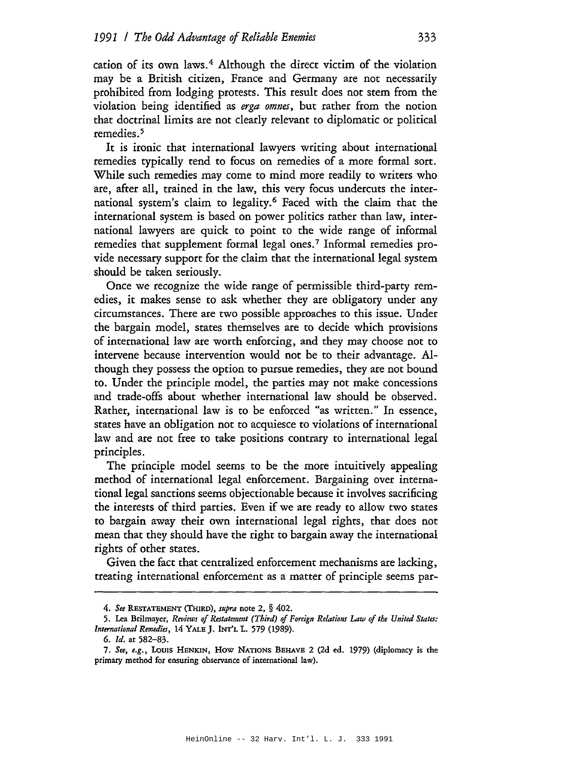cation of its own laws. <sup>4</sup> Although the direct victim of the violation may be a British citizen, France and Germany are not necessarily prohibited from lodging protests. This result does not stem from the violation being identified as *erga omnes,* but rather from the notion that doctrinal limits are not clearly relevant to diplomatic or political remedies. <sup>5</sup>

It is ironic that international lawyers writing about international remedies typically tend to focus on remedies of a more formal sort. While such remedies may come to mind more readily to writers who are, after all, trained in the law, this very focus undercuts the international system's claim to legality.6 Faced with the claim that the international system is based on power politics rather than law, international lawyers are quick to point to the wide range of informal remedies that supplement formal legal ones.<sup>7</sup> Informal remedies provide necessary support for the claim that the international legal system should be taken seriously.

Once we recognize the wide range of permissible third-party remedies, it makes sense to ask whether they are obligatory under any circumstances. There are two possible approaches to this issue. Under the bargain model, states themselves are to decide which provisions of international law are worth enforcing, and they may choose not to intervene because intervention would not be to their advantage. Although they possess the option to pursue remedies, they are not bound to. Under the principle model, the parties may not make concessions and trade-offs about whether international law should be observed. Rather, international law is to be enforced "as written." In essence, states have an obligation not to acquiesce to violations of international law and are not free to take positions contrary to international legal principles.

The principle model seems to be the more intuitively appealing method of international legal enforcement. Bargaining over international legal sanctions seems objectionable because it involves sacrificing the interests of third parties. Even if we are ready to allow two states to bargain away their own international legal rights, that does not mean that they should have the right to bargain away the international rights of other states.

Given the fact that centralized enforcement mechanisms are lacking, treating international enforcement as a matter of principle seems par-

*<sup>4.</sup> See* RESTATEMENT (THIRD), *supra* note 2, § 402.

<sup>5.</sup> Lea Brilmayer, *Reviews of Restatement (Third) of Foreign Relations Law of the United States: International Remedies,* 14 YALE]. INT'L L. 579 (1989).

<sup>6.</sup> *Id.* ar 582-83.

*<sup>7.</sup> See, e.g.,* loUIS HENKIN, How NATIONS BEHAVE 2 (2d ed. 1979) (diplomacy is the primary method for ensuring observance of international law).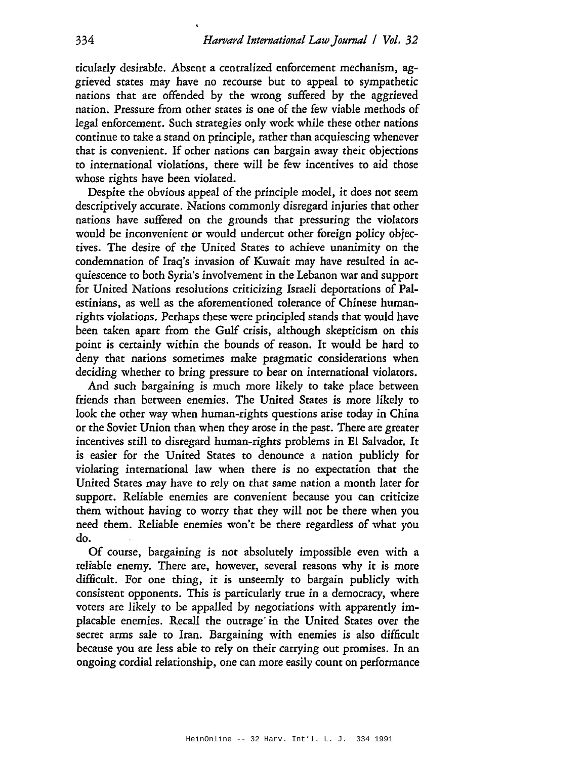ticularly desirable. Absent a centralized enforcement mechanism, aggrieved states may have no recourse but to appeal to sympathetic nations that are offended by the wrong suffered by the aggrieved nation. Pressure from other states is one of the few viable methods of legal enforcement. Such strategies only work while these other nations continue to take a stand on principle, rather than acquiescing whenever that is convenient. If other nations can bargain away their objections to international violations, there will be few incentives to aid those whose rights have been violated.

Despite the obvious appeal of the principle model, it does not seem descriptively accurate. Nations commonly disregard injuries that other nations have suffered on the grounds that pressuring the violators would be inconvenient or would undercut other foreign *policy* objectives. The desire of the United States to achieve unanimity on the condemnation of Iraq's invasion of Kuwait may have resulted in acquiescence to both Syria's involvement in the Lebanon war and support for United Nations resolutions criticizing Israeli deportations of Palestinians, as well as the aforementioned tolerance of Chinese humanrights violations. Perhaps these were principled stands that would have been taken apart from the Gulf crisis, although skepticism on this point is certainly within the bounds of reason. It would be hard to deny that nations sometimes make pragmatic considerations when deciding whether to bring pressure to bear on international violators.

And such bargaining is much more likely to take place between friends than between enemies. The United States is more likely to *look* the other way when human-rights questions arise today in China or the Soviet Union than when they arose in the past. There are greater incentives still to disregard human-rights problems in EI Salvador. It is easier for the United States to denounce a nation publicly for violating international law when there is no expectation that the United States may have to rely on that same nation a month later for support. Reliable enemies are convenient because you can criticize them without having to worry that they will not be there when you need them. Reliable enemies won't be there regardless of what you do.

Of course, bargaining is not absolutely impossible even with a reliable enemy. There are, however, several reasons why it is more difficult. For one thing, it is unseemly to bargain publicly with consistent opponents. This is particularly true in a democracy, where voters are likely to be appalled by negotiations with apparently implacable enemies. Recall the outrage'in the United States over the secret arms sale to Iran. Bargaining with enemies is also difficult because you are less able to rely on their carrying out promises. In an ongoing cordial relationship, one can more easily count on performance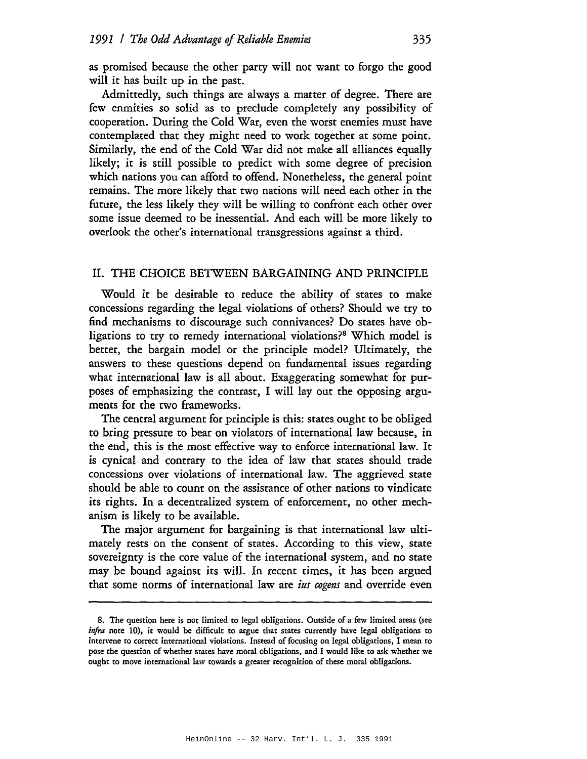as promised because the other party will not want to forgo the good will it has built up in the past.

Admittedly, such things are always a matter of degree. There are few enmities so solid as to preclude completely any possibility of cooperation. During the Cold War, even the worst enemies must have contemplated that they might need to work together at some point. Similarly, the end of the Cold War did not make all alliances equally likely; it is still possible to predict with some degree of precision which nations you can afford to offend. Nonetheless, the general point remains. The more likely that two nations will need each other in the future, the less likely they will be willing to confront each other over some issue deemed to be inessential. And each will be more likely to overlook the other's international transgressions against a third.

## II. THE CHOICE BETWEEN BARGAINING AND PRINCIPLE

Would it be desirable to reduce the ability of states to make concessions regarding the legal violations of others? Should we tty to find mechanisms to discourage such connivances? Do states have obligations to try to remedy international violations?<sup>8</sup> Which model is better, the bargain model or the principle model? Ultimately, the answers to these questions depend on fundamental issues regarding what international law is all about. Exaggerating somewhat for purposes of emphasizing the contrast, I will lay out the opposing arguments for the two frameworks.

The central argument for principle is this: states ought to be obliged to bring pressure to bear on violators of international law because, in the end, this is the most effective way to enforce international law. It is cynical and contrary to the idea of law that states should trade concessions over violations of international law. The aggrieved state should be able to count on the assistance of other nations to vindicate its rights. In a decentralized system of enforcement, no other mechanism is likely to be available.

The major argument for bargaining is that international law ultimately rests on the consent of states. According to this view, state sovereignty is the core value of the international system, and no state may be bound against its will. In recent times, it has been argued that some norms of international law are *ius cogens* and override even

<sup>8.</sup> The question here is not limited to legal obligations. Outside of a few limited areas (see *infra* note 10), it would be difficult to argue that states currently have legal obligations to intervene to correct international violations. Instead of focusing on legal obligations, I mean to pose the question of whether states have moral obligations, and I would like to ask whether we ought to move international law towards a greater recognition of these moral obligations.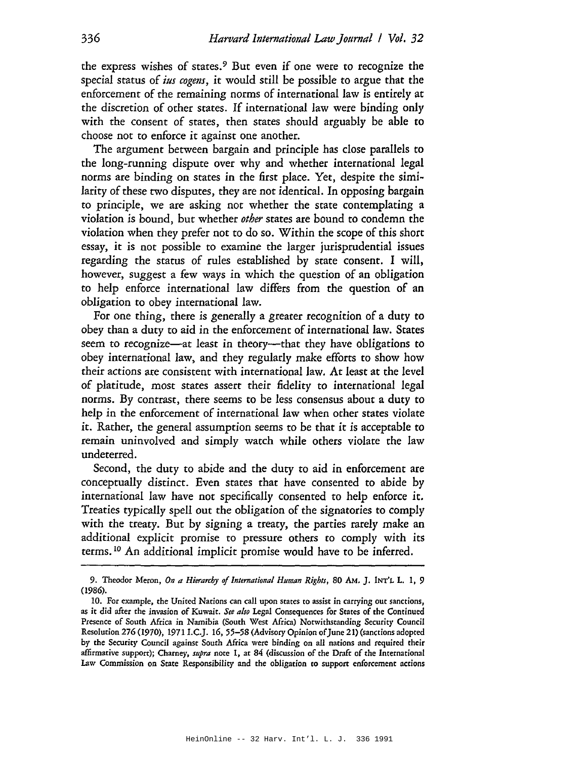the express wishes of states. <sup>9</sup> But even if one were to recognize the special status of *ius cogens*, it would still be possible to argue that the enforcement of the remaining norms of international law is entirely at the discretion of other states. If international law were binding only with the consent of states, then states should arguably be able to choose not to enforce it against one another.

The argument between bargain and principle has close parallels to the long-running dispute over why and whether international legal norms are binding on states in the first place. Yet, despite the similarity of these two disputes, they are not identical. In opposing bargain to principle, we are asking not whether the state contemplating a violation is bound, but whether *other* states are bound to condemn the violation when they prefer not to do so. Within the scope of this short essay, it is not possible to examine the larger jurisprudential issues regarding the status of rules established by state consent. I will, however, suggest a few ways in which the question of an obligation to help enforce international law differs from the question of an obligation to obey international law.

For one thing, there is generally a greater recognition of a duty to obey than a duty to aid in the enforcement of international law. States seem to recognize-at least in theory-that they have obligations to obey international law, and they regularly make efforts to show how their actions are consistent with international law. At least at the level of platitude, most states assert their fidelity to international legal norms. By contrast, there seems to be less consensus about a duty to help in the enforcement of international law when other states violate it. Rather, the general assumption seems to be that it is acceptable to remain uninvolved and simply watch while others violate the law undeterred.

Second, the duty to abide and the duty to aid in enforcement are conceptually distinct. Even states that have consented to abide by international law have not specifically consented to help enforce it. Treaties typically spell out the obligation of the signatories to comply with the treaty. But by signing a treaty, the parties rarely make an additional explicit promise to pressure others to comply with its terms. <sup>10</sup> An additional implicit promise would have to be inferred.

<sup>9.</sup> Theodor Meron, On a Hierarchy of International Human Rights, 80 AM. J. INT'L L. 1, 9 (1986).

<sup>10.</sup> For example, rhe United Nations can call upon states to assist in carrying out sanctions, as it did after the invasion of Kuwait. *See also* Legal Consequences for States of the Continued Presence of South Africa in Namibia (South West Africa) Norwithstanding Security Council Resolution 276 (1970), 1971 I.C.]. 16,55-58 (Advisory Opinion of]une 21) (sanctions adopted by the Securiry Council against South Africa were binding on all nations and required their affirmative support); Charney, *supra* note I, at 84 (discussion of the Drafr of the International Law Commission on State Responsibiliry and the obligation to support enforcement actions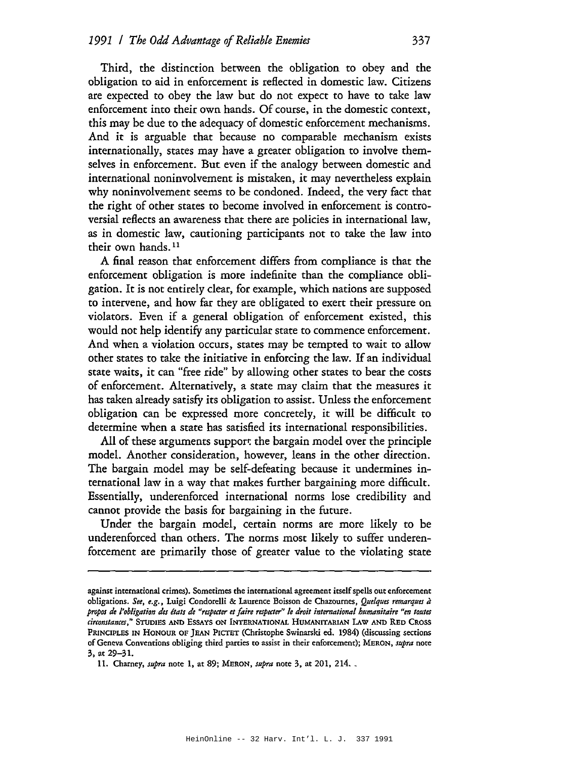Third, the distinction between the obligation to obey and the obligation to aid in enforcement is reflected in domestic law. Citizens are expected to obey the law but do not expect to have to take law enforcement into their own hands. Of course, in the domestic context, this may be due to the adequacy of domestic enforcement mechanisms. And it is arguable that because no comparable mechanism exists internationally, states may have a greater obligation to involve themselves in enforcement. But even if the analogy between domestic and international noninvolvement is mistaken, it may nevertheless explain why noninvolvement seems to be condoned. Indeed, the very fact that the right of other states to become involved in enforcement is controversial reflects an awareness that there are policies in international law, as in domestic law, cautioning participants not to take the law into their own hands.<sup>11</sup>

A final reason that enforcement differs from compliance is that the enforcement obligation is more indefinite than the compliance obligation. It is not entirely clear, for example, which nations are supposed to intervene, and how far they are obligated to exert their pressure on violators. Even if a general obligation of enforcement existed, this would not help identify any particular state to commence enforcement. And when a violation occurs, states may be tempted to wait to allow other states to take the initiative in enforcing the law. If an individual state waits, it can "free ride" by allowing other states to bear the COSts of enforcement. Alternatively, a state may claim that the measures it has taken already satisfy its obligation to assist. Unless the enforcement obligation can be expressed more concretely, it will be difficult to determine when a state has satisfied its international responsibilities.

All of these arguments support the bargain model over the principle model. Another consideration, however, leans in the other direction. The bargain model may be self-defeating because it undermines international law in a way that makes further bargaining more difficult. Essentially, underenfotced international norms lose credibility and cannot provide the basis for bargaining in the future.

Under the bargain model, certain norms are more likely to be underenforced than others. The norms most likely to suffer underenforcement ate primarily those of greater value to the violating state

against international crimes). Sometimes the international agreement itselfspells out enforcement obligations. *See, e.g.,* Luigi Condorelli & Laurence Boisson de Chazournes, *Quelques remarques it propos de I'obligation des {tats de "respecter et faire respecter" Ie droit international humanitaire "en toutes cirromtan(es,"* STUDIES AND ESSAYS ON INTERNATIONAL HUMANITARIAN LAw AND RED CROSS PRINCIPLES IN HONOUR OF JEAN PICTET (Christophe Swinarski ed. 1984) (discussing sections of Geneva Conventions obliging third panies to assist in their enforcement); MERON, *supra* note 3, at 29-31.

<sup>11.</sup> Charney, *supra* note 1, at 89; MERON, *supra* note 3, at 201, 214. \_